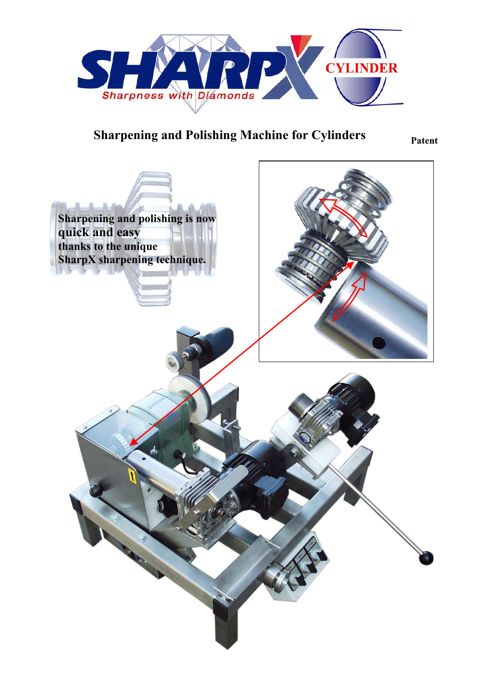

## **Sharpening and Polishing Machine for Cylinders Patent**